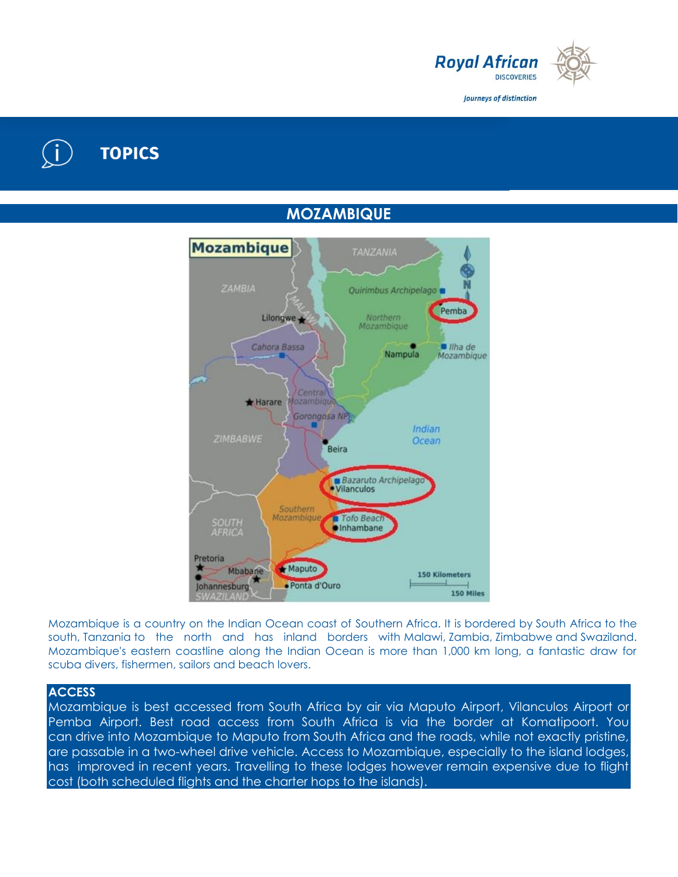

Journeys of distinction

# **TOPICS**

**MOZAMBIQUE**



Mozambique is a country on the Indian Ocean coast of Southern Africa. It is bordered by South Africa to the south, Tanzania to the north and has inland borders with Malawi, Zambia, Zimbabwe and Swaziland. Mozambique's eastern coastline along the Indian Ocean is more than 1,000 km long, a fantastic draw for scuba divers, fishermen, sailors and beach lovers.

## **ACCESS**

Mozambique is best accessed from South Africa by air via Maputo Airport, Vilanculos Airport or Pemba Airport. Best road access from South Africa is via the border at Komatipoort. You can drive into Mozambique to Maputo from South Africa and the roads, while not exactly pristine, are passable in a two-wheel drive vehicle. Access to Mozambique, especially to the island lodges, has improved in recent years. Travelling to these lodges however remain expensive due to flight cost (both scheduled flights and the charter hops to the islands).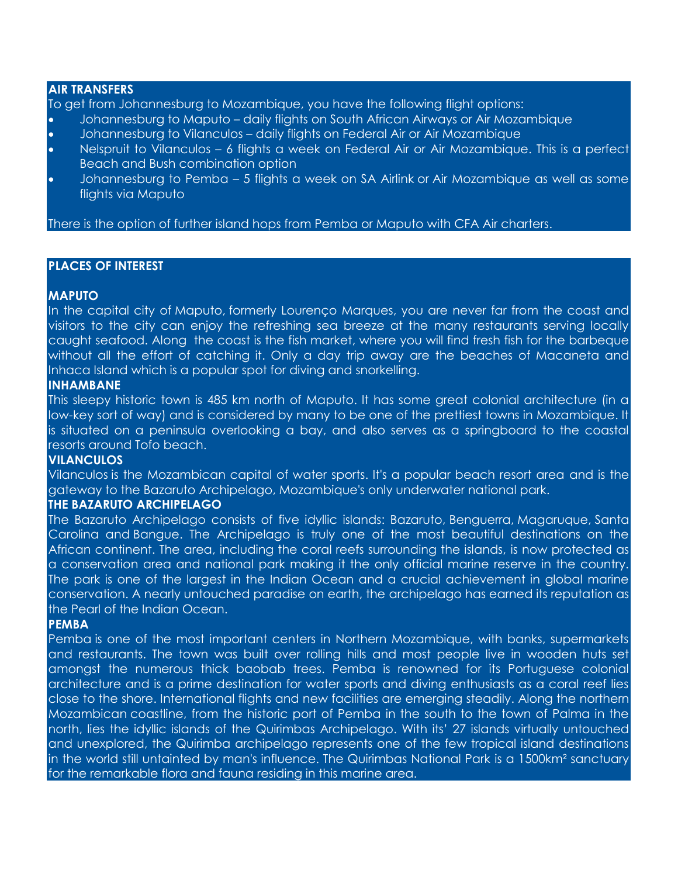#### **AIR TRANSFERS**

To get from Johannesburg to Mozambique, you have the following flight options:

- Johannesburg to Maputo daily flights on South African Airways or Air Mozambique Johannesburg to Vilanculos – daily flights on Federal Air or Air Mozambique
- 
- Nelspruit to Vilanculos 6 flights a week on Federal Air or Air Mozambique. This is a perfect Beach and Bush combination option
- Johannesburg to Pemba 5 flights a week on SA Airlink or Air Mozambique as well as some flights via Maputo

There is the option of further island hops from Pemba or Maputo with CFA Air charters.

# **PLACES OF INTEREST**

# **MAPUTO**

In the capital city of Maputo, formerly Lourenço Marques, you are never far from the coast and visitors to the city can enjoy the refreshing sea breeze at the many restaurants serving locally caught seafood. Along the coast is the fish market, where you will find fresh fish for the barbeque without all the effort of catching it. Only a day trip away are the beaches of Macaneta and Inhaca Island which is a popular spot for diving and snorkelling.

# **INHAMBANE**

This sleepy historic town is 485 km north of Maputo. It has some great colonial architecture (in a low-key sort of way) and is considered by many to be one of the prettiest towns in Mozambique. It is situated on a peninsula overlooking a bay, and also serves as a springboard to the coastal resorts around Tofo beach.

# **VILANCULOS**

Vilanculos is the Mozambican capital of water sports. It's a popular beach resort area and is the gateway to the Bazaruto Archipelago, Mozambique's only underwater national park.

#### **THE BAZARUTO ARCHIPELAGO**

The Bazaruto Archipelago consists of five idyllic islands: Bazaruto, Benguerra, Magaruque, Santa Carolina and Bangue. The Archipelago is truly one of the most beautiful destinations on the African continent. The area, including the coral reefs surrounding the islands, is now protected as a conservation area and national park making it the only official marine reserve in the country. The park is one of the largest in the Indian Ocean and a crucial achievement in global marine conservation. A nearly untouched paradise on earth, the archipelago has earned its reputation as the Pearl of the Indian Ocean.

#### **PEMBA**

Pemba is one of the most important centers in Northern Mozambique, with banks, supermarkets and restaurants. The town was built over rolling hills and most people live in wooden huts set amongst the numerous thick baobab trees. Pemba is renowned for its Portuguese colonial architecture and is a prime destination for water sports and diving enthusiasts as a coral reef lies close to the shore. International flights and new facilities are emerging steadily. Along the northern Mozambican coastline, from the historic port of Pemba in the south to the town of Palma in the north, lies the idyllic islands of the Quirimbas Archipelago. With its' 27 islands virtually untouched and unexplored, the Quirimba archipelago represents one of the few tropical island destinations in the world still untainted by man's influence. The Quirimbas National Park is a 1500km² sanctuary for the remarkable flora and fauna residing in this marine area.